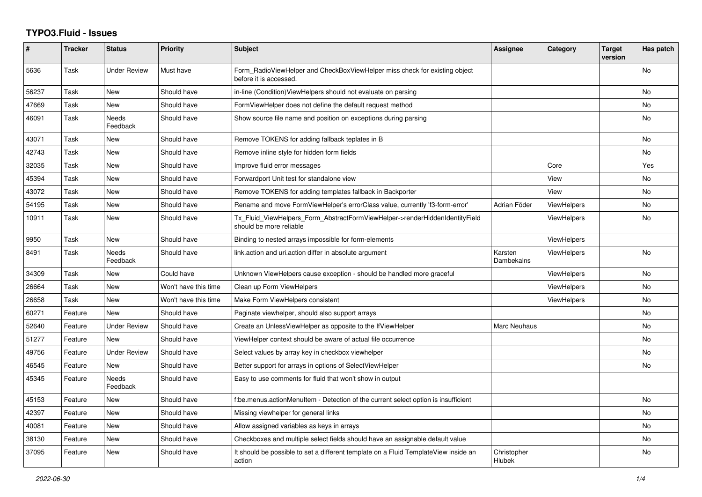## **TYPO3.Fluid - Issues**

| #     | <b>Tracker</b> | <b>Status</b>            | Priority             | Subject                                                                                                | <b>Assignee</b>       | Category           | <b>Target</b><br>version | Has patch |
|-------|----------------|--------------------------|----------------------|--------------------------------------------------------------------------------------------------------|-----------------------|--------------------|--------------------------|-----------|
| 5636  | Task           | Under Review             | Must have            | Form RadioViewHelper and CheckBoxViewHelper miss check for existing object<br>before it is accessed.   |                       |                    |                          | No        |
| 56237 | Task           | New                      | Should have          | in-line (Condition) View Helpers should not evaluate on parsing                                        |                       |                    |                          | No        |
| 47669 | Task           | <b>New</b>               | Should have          | Form View Helper does not define the default request method                                            |                       |                    |                          | No        |
| 46091 | Task           | <b>Needs</b><br>Feedback | Should have          | Show source file name and position on exceptions during parsing                                        |                       |                    |                          | No.       |
| 43071 | Task           | New                      | Should have          | Remove TOKENS for adding fallback teplates in B                                                        |                       |                    |                          | No        |
| 42743 | Task           | New                      | Should have          | Remove inline style for hidden form fields                                                             |                       |                    |                          | No.       |
| 32035 | Task           | New                      | Should have          | Improve fluid error messages                                                                           |                       | Core               |                          | Yes       |
| 45394 | Task           | New                      | Should have          | Forwardport Unit test for standalone view                                                              |                       | View               |                          | No        |
| 43072 | Task           | New                      | Should have          | Remove TOKENS for adding templates fallback in Backporter                                              |                       | View               |                          | No        |
| 54195 | Task           | <b>New</b>               | Should have          | Rename and move FormViewHelper's errorClass value, currently 'f3-form-error'                           | Adrian Föder          | <b>ViewHelpers</b> |                          | No        |
| 10911 | Task           | New                      | Should have          | Tx_Fluid_ViewHelpers_Form_AbstractFormViewHelper->renderHiddenIdentityField<br>should be more reliable |                       | <b>ViewHelpers</b> |                          | No.       |
| 9950  | Task           | <b>New</b>               | Should have          | Binding to nested arrays impossible for form-elements                                                  |                       | ViewHelpers        |                          |           |
| 8491  | Task           | <b>Needs</b><br>Feedback | Should have          | link.action and uri.action differ in absolute argument                                                 | Karsten<br>Dambekalns | ViewHelpers        |                          | No.       |
| 34309 | Task           | <b>New</b>               | Could have           | Unknown ViewHelpers cause exception - should be handled more graceful                                  |                       | <b>ViewHelpers</b> |                          | No        |
| 26664 | Task           | New                      | Won't have this time | Clean up Form ViewHelpers                                                                              |                       | ViewHelpers        |                          | No        |
| 26658 | Task           | New                      | Won't have this time | Make Form ViewHelpers consistent                                                                       |                       | ViewHelpers        |                          | No        |
| 60271 | Feature        | New                      | Should have          | Paginate viewhelper, should also support arrays                                                        |                       |                    |                          | No        |
| 52640 | Feature        | <b>Under Review</b>      | Should have          | Create an UnlessViewHelper as opposite to the IfViewHelper                                             | Marc Neuhaus          |                    |                          | No        |
| 51277 | Feature        | <b>New</b>               | Should have          | ViewHelper context should be aware of actual file occurrence                                           |                       |                    |                          | No        |
| 49756 | Feature        | <b>Under Review</b>      | Should have          | Select values by array key in checkbox viewhelper                                                      |                       |                    |                          | No        |
| 46545 | Feature        | New                      | Should have          | Better support for arrays in options of SelectViewHelper                                               |                       |                    |                          | No        |
| 45345 | Feature        | <b>Needs</b><br>Feedback | Should have          | Easy to use comments for fluid that won't show in output                                               |                       |                    |                          |           |
| 45153 | Feature        | New                      | Should have          | f:be.menus.actionMenuItem - Detection of the current select option is insufficient                     |                       |                    |                          | No        |
| 42397 | Feature        | New                      | Should have          | Missing viewhelper for general links                                                                   |                       |                    |                          | No        |
| 40081 | Feature        | <b>New</b>               | Should have          | Allow assigned variables as keys in arrays                                                             |                       |                    |                          | No        |
| 38130 | Feature        | New                      | Should have          | Checkboxes and multiple select fields should have an assignable default value                          |                       |                    |                          | No        |
| 37095 | Feature        | <b>New</b>               | Should have          | It should be possible to set a different template on a Fluid TemplateView inside an<br>action          | Christopher<br>Hlubek |                    |                          | No        |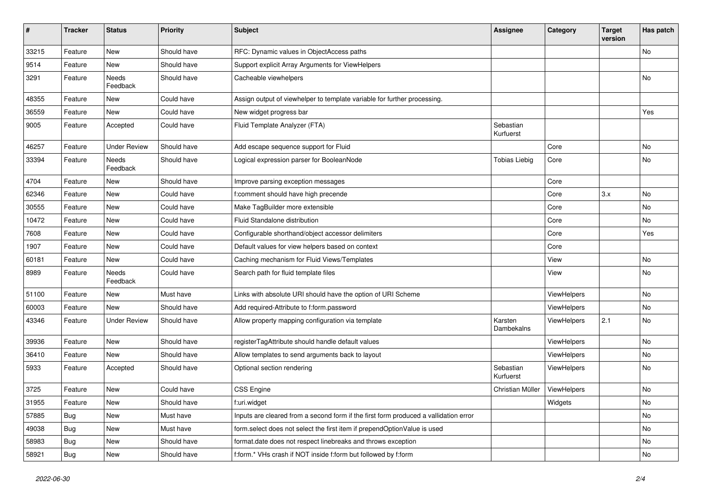| $\sharp$ | <b>Tracker</b> | <b>Status</b>       | <b>Priority</b> | <b>Subject</b>                                                                       | <b>Assignee</b>        | Category    | <b>Target</b><br>version | Has patch |
|----------|----------------|---------------------|-----------------|--------------------------------------------------------------------------------------|------------------------|-------------|--------------------------|-----------|
| 33215    | Feature        | New                 | Should have     | RFC: Dynamic values in ObjectAccess paths                                            |                        |             |                          | No        |
| 9514     | Feature        | New                 | Should have     | Support explicit Array Arguments for ViewHelpers                                     |                        |             |                          |           |
| 3291     | Feature        | Needs<br>Feedback   | Should have     | Cacheable viewhelpers                                                                |                        |             |                          | No        |
| 48355    | Feature        | New                 | Could have      | Assign output of viewhelper to template variable for further processing.             |                        |             |                          |           |
| 36559    | Feature        | New                 | Could have      | New widget progress bar                                                              |                        |             |                          | Yes       |
| 9005     | Feature        | Accepted            | Could have      | Fluid Template Analyzer (FTA)                                                        | Sebastian<br>Kurfuerst |             |                          |           |
| 46257    | Feature        | <b>Under Review</b> | Should have     | Add escape sequence support for Fluid                                                |                        | Core        |                          | No        |
| 33394    | Feature        | Needs<br>Feedback   | Should have     | Logical expression parser for BooleanNode                                            | <b>Tobias Liebig</b>   | Core        |                          | No        |
| 4704     | Feature        | New                 | Should have     | Improve parsing exception messages                                                   |                        | Core        |                          |           |
| 62346    | Feature        | New                 | Could have      | f:comment should have high precende                                                  |                        | Core        | 3.x                      | No        |
| 30555    | Feature        | New                 | Could have      | Make TagBuilder more extensible                                                      |                        | Core        |                          | No        |
| 10472    | Feature        | New                 | Could have      | Fluid Standalone distribution                                                        |                        | Core        |                          | No        |
| 7608     | Feature        | New                 | Could have      | Configurable shorthand/object accessor delimiters                                    |                        | Core        |                          | Yes       |
| 1907     | Feature        | New                 | Could have      | Default values for view helpers based on context                                     |                        | Core        |                          |           |
| 60181    | Feature        | <b>New</b>          | Could have      | Caching mechanism for Fluid Views/Templates                                          |                        | View        |                          | No        |
| 8989     | Feature        | Needs<br>Feedback   | Could have      | Search path for fluid template files                                                 |                        | View        |                          | No        |
| 51100    | Feature        | New                 | Must have       | Links with absolute URI should have the option of URI Scheme                         |                        | ViewHelpers |                          | No        |
| 60003    | Feature        | <b>New</b>          | Should have     | Add required-Attribute to f:form.password                                            |                        | ViewHelpers |                          | No        |
| 43346    | Feature        | <b>Under Review</b> | Should have     | Allow property mapping configuration via template                                    | Karsten<br>Dambekalns  | ViewHelpers | 2.1                      | No        |
| 39936    | Feature        | New                 | Should have     | registerTagAttribute should handle default values                                    |                        | ViewHelpers |                          | No        |
| 36410    | Feature        | <b>New</b>          | Should have     | Allow templates to send arguments back to layout                                     |                        | ViewHelpers |                          | No        |
| 5933     | Feature        | Accepted            | Should have     | Optional section rendering                                                           | Sebastian<br>Kurfuerst | ViewHelpers |                          | No        |
| 3725     | Feature        | New                 | Could have      | <b>CSS Engine</b>                                                                    | Christian Müller       | ViewHelpers |                          | No        |
| 31955    | Feature        | New                 | Should have     | f:uri.widget                                                                         |                        | Widgets     |                          | No        |
| 57885    | Bug            | New                 | Must have       | Inputs are cleared from a second form if the first form produced a vallidation error |                        |             |                          | No        |
| 49038    | Bug            | New                 | Must have       | form.select does not select the first item if prependOptionValue is used             |                        |             |                          | No        |
| 58983    | <b>Bug</b>     | New                 | Should have     | format.date does not respect linebreaks and throws exception                         |                        |             |                          | No        |
| 58921    | <b>Bug</b>     | New                 | Should have     | f:form.* VHs crash if NOT inside f:form but followed by f:form                       |                        |             |                          | No        |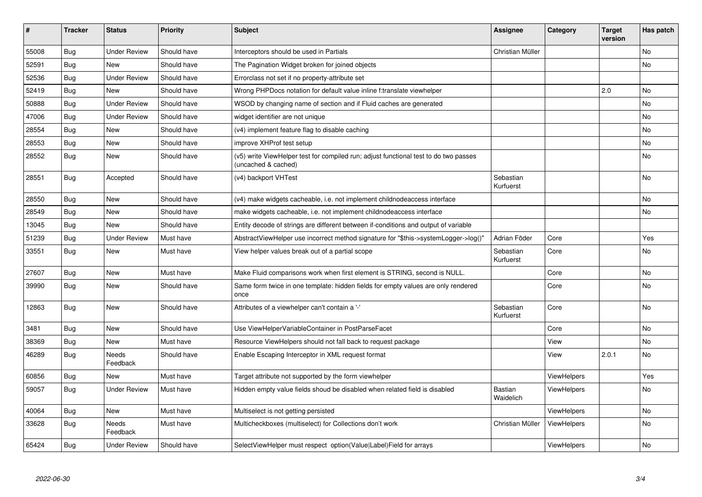| #     | <b>Tracker</b> | <b>Status</b>            | <b>Priority</b> | <b>Subject</b>                                                                                              | Assignee                    | Category           | <b>Target</b><br>version | Has patch |
|-------|----------------|--------------------------|-----------------|-------------------------------------------------------------------------------------------------------------|-----------------------------|--------------------|--------------------------|-----------|
| 55008 | Bug            | <b>Under Review</b>      | Should have     | Interceptors should be used in Partials                                                                     | Christian Müller            |                    |                          | No        |
| 52591 | Bug            | <b>New</b>               | Should have     | The Pagination Widget broken for joined objects                                                             |                             |                    |                          | No        |
| 52536 | Bug            | <b>Under Review</b>      | Should have     | Errorclass not set if no property-attribute set                                                             |                             |                    |                          |           |
| 52419 | Bug            | <b>New</b>               | Should have     | Wrong PHPDocs notation for default value inline f:translate viewhelper                                      |                             |                    | 2.0                      | <b>No</b> |
| 50888 | Bug            | <b>Under Review</b>      | Should have     | WSOD by changing name of section and if Fluid caches are generated                                          |                             |                    |                          | <b>No</b> |
| 47006 | <b>Bug</b>     | <b>Under Review</b>      | Should have     | widget identifier are not unique                                                                            |                             |                    |                          | <b>No</b> |
| 28554 | <b>Bug</b>     | New                      | Should have     | (v4) implement feature flag to disable caching                                                              |                             |                    |                          | No        |
| 28553 | Bug            | New                      | Should have     | improve XHProf test setup                                                                                   |                             |                    |                          | No        |
| 28552 | <b>Bug</b>     | New                      | Should have     | (v5) write ViewHelper test for compiled run; adjust functional test to do two passes<br>(uncached & cached) |                             |                    |                          | No        |
| 28551 | Bug            | Accepted                 | Should have     | (v4) backport VHTest                                                                                        | Sebastian<br>Kurfuerst      |                    |                          | <b>No</b> |
| 28550 | Bug            | New                      | Should have     | (v4) make widgets cacheable, i.e. not implement childnodeaccess interface                                   |                             |                    |                          | No        |
| 28549 | <b>Bug</b>     | New                      | Should have     | make widgets cacheable, i.e. not implement childnodeaccess interface                                        |                             |                    |                          | No        |
| 13045 | <b>Bug</b>     | New                      | Should have     | Entity decode of strings are different between if-conditions and output of variable                         |                             |                    |                          |           |
| 51239 | Bug            | <b>Under Review</b>      | Must have       | AbstractViewHelper use incorrect method signature for "\$this->systemLogger->log()"                         | Adrian Föder                | Core               |                          | Yes       |
| 33551 | <b>Bug</b>     | <b>New</b>               | Must have       | View helper values break out of a partial scope                                                             | Sebastian<br>Kurfuerst      | Core               |                          | <b>No</b> |
| 27607 | Bug            | <b>New</b>               | Must have       | Make Fluid comparisons work when first element is STRING, second is NULL.                                   |                             | Core               |                          | <b>No</b> |
| 39990 | <b>Bug</b>     | <b>New</b>               | Should have     | Same form twice in one template: hidden fields for empty values are only rendered<br>once                   |                             | Core               |                          | <b>No</b> |
| 12863 | Bug            | <b>New</b>               | Should have     | Attributes of a viewhelper can't contain a '-'                                                              | Sebastian<br>Kurfuerst      | Core               |                          | <b>No</b> |
| 3481  | Bug            | New                      | Should have     | Use ViewHelperVariableContainer in PostParseFacet                                                           |                             | Core               |                          | No        |
| 38369 | Bug            | <b>New</b>               | Must have       | Resource ViewHelpers should not fall back to request package                                                |                             | View               |                          | <b>No</b> |
| 46289 | Bug            | <b>Needs</b><br>Feedback | Should have     | Enable Escaping Interceptor in XML request format                                                           |                             | View               | 2.0.1                    | No        |
| 60856 | <b>Bug</b>     | <b>New</b>               | Must have       | Target attribute not supported by the form viewhelper                                                       |                             | <b>ViewHelpers</b> |                          | Yes       |
| 59057 | Bug            | <b>Under Review</b>      | Must have       | Hidden empty value fields shoud be disabled when related field is disabled                                  | <b>Bastian</b><br>Waidelich | <b>ViewHelpers</b> |                          | No        |
| 40064 | Bug            | New                      | Must have       | Multiselect is not getting persisted                                                                        |                             | ViewHelpers        |                          | No        |
| 33628 | Bug            | <b>Needs</b><br>Feedback | Must have       | Multicheckboxes (multiselect) for Collections don't work                                                    | Christian Müller            | <b>ViewHelpers</b> |                          | No        |
| 65424 | <b>Bug</b>     | <b>Under Review</b>      | Should have     | SelectViewHelper must respect option(Value Label)Field for arrays                                           |                             | ViewHelpers        |                          | No        |